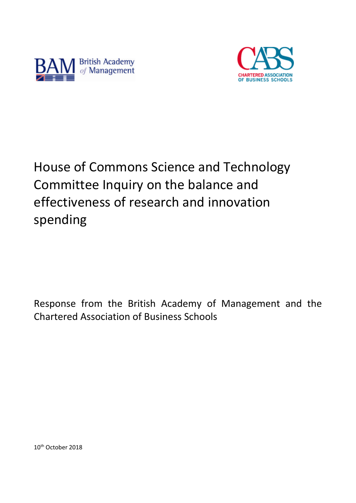



# House of Commons Science and Technology Committee Inquiry on the balance and effectiveness of research and innovation spending

Response from the British Academy of Management and the Chartered Association of Business Schools

10<sup>th</sup> October 2018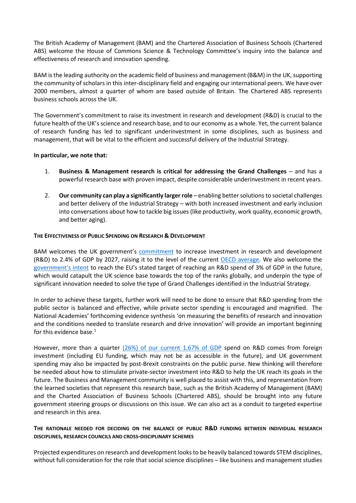The British Academy of Management (BAM) and the Chartered Association of Business Schools (Chartered ABS) welcome the House of Commons Science & Technology Committee's inquiry into the balance and effectiveness of research and innovation spending.

BAM is the leading authority on the academic field of business and management (B&M) in the UK, supporting the community of scholars in this inter-disciplinary field and engaging our international peers. We have over 2000 members, almost a quarter of whom are based outside of Britain. The Chartered ABS represents business schools across the UK.

The Government's commitment to raise its investment in research and development (R&D) is crucial to the future health of the UK's science and research base, and to our economy as a whole. Yet, the current balance of research funding has led to significant underinvestment in some disciplines, such as business and management, that will be vital to the efficient and successful delivery of the Industrial Strategy.

# **In particular, we note that:**

- 1. **Business & Management research is critical for addressing the Grand Challenges** and has a powerful research base with proven impact, despite considerable underinvestment in recent years.
- 2. **Our community can play a significantly larger role** enabling better solutions to societal challenges and better delivery of the Industrial Strategy – with both increased investment and early inclusion into conversations about how to tackle big issues (like productivity, work quality, economic growth, and better aging).

### **THE EFFECTIVENESS OF PUBLIC SPENDING ON RESEARCH & DEVELOPMENT**

BAM welcomes the UK government's [commitment](https://www.gov.uk/government/publications/autumn-budget-2017-documents/autumn-budget-2017) to increase investment in research and development (R&D) to 2.4% of GDP by 2027, raising it to the level of the current [OECD average.](https://www.oecd.org/sti/DataBrief_MSTI_2018.pdf) We also welcome the [government's intent](https://www.thetimes.co.uk/article/my-industrial-strategy-will-build-a-britain-fit-for-the-future-theresa-may-comment-tqhrt7hk6) to reach the EU's stated target of reaching an R&D spend of 3% of GDP in the future, which would catapult the UK science base towards the top of the ranks globally, and underpin the type of significant innovation needed to solve the type of Grand Challenges identified in the Industrial Strategy.

In order to achieve these targets, further work will need to be done to ensure that R&D spending from the public sector is balanced and effective, while private sector spending is encouraged and magnified. The National Academies' forthcoming evidence synthesis 'on measuring the benefits of research and innovation and the conditions needed to translate research and drive innovation' will provide an important beginning for this evidence base. 1

However, more than a quarter  $(26%)$  of our current 1.67% of GDP spend on R&D comes from foreign investment (including EU funding, which may not be as accessible in the future), and UK government spending may also be impacted by post-Brexit constraints on the public purse. New thinking will therefore be needed about how to stimulate private-sector investment into R&D to help the UK reach its goals in the future. The Business and Management community is well placed to assist with this, and representation from the learned societies that represent this research base, such as the British Academy of Management (BAM) and the Charted Association of Business Schools (Chartered ABS), should be brought into any future government steering groups or discussions on this issue. We can also act as a conduit to targeted expertise and research in this area.

# **THE RATIONALE NEEDED FOR DECIDING ON THE BALANCE OF PUBLIC R&D FUNDING BETWEEN INDIVIDUAL RESEARCH DISCIPLINES, RESEARCH COUNCILS AND CROSS-DISCIPLINARY SCHEMES**

Projected expenditures on research and development looks to be heavily balanced towards STEM disciplines, without full consideration for the role that social science disciplines – like business and management studies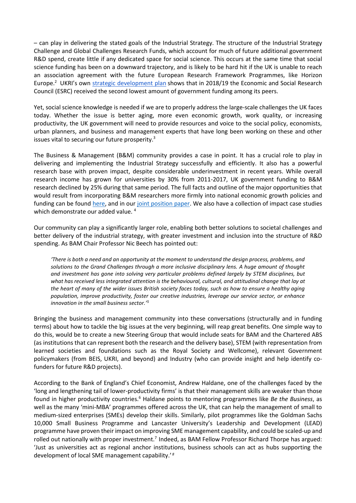– can play in delivering the stated goals of the Industrial Strategy. The structure of the Industrial Strategy Challenge and Global Challenges Research Funds, which account for much of future additional government R&D spend, create little if any dedicated space for social science. This occurs at the same time that social science funding has been on a downward trajectory, and is likely to be hard hit if the UK is unable to reach an association agreement with the future European Research Framework Programmes, like Horizon Europe.<sup>2</sup> UKRI's own [strategic development plan](https://www.ukri.org/files/about/ukri-strategy-document-pdf/?pdf=Strategic-Prospectus) shows that in 2018/19 the Economic and Social Research Council (ESRC) received the second lowest amount of government funding among its peers.

Yet, social science knowledge is needed if we are to properly address the large-scale challenges the UK faces today. Whether the issue is better aging, more even economic growth, work quality, or increasing productivity, the UK government will need to provide resources and voice to the social policy, economists, urban planners, and business and management experts that have long been working on these and other issues vital to securing our future prosperity.<sup>3</sup>

The Business & Management (B&M) community provides a case in point. It has a crucial role to play in delivering and implementing the Industrial Strategy successfully and efficiently. It also has a powerful research base with proven impact, despite considerable underinvestment in recent years. While overall research income has grown for universities by 30% from 2011-2017, UK government funding to B&M research declined by 25% during that same period. The full facts and outline of the major opportunities that would result from incorporating B&M researchers more firmly into national economic growth policies and funding can be found [here,](https://charteredabs.org/research-impact/) and in our [joint position paper.](https://charteredabs.org/wp-content/uploads/2018/07/Added-Value-of-Research-2018.pdf) We also have a collection of impact case studies which demonstrate our added value.<sup>4</sup>

Our community can play a significantly larger role, enabling both better solutions to societal challenges and better delivery of the industrial strategy, with greater investment and inclusion into the structure of R&D spending. As BAM Chair Professor Nic Beech has pointed out:

*'There is both a need and an opportunity at the moment to understand the design process, problems, and solutions to the Grand Challenges through a more inclusive disciplinary lens. A huge amount of thought and investment has gone into solving very particular problems defined largely by STEM disciplines, but*  what has received less integrated attention is the behavioural, cultural, and attitudinal change that lay at *the heart of many of the wider issues British society faces today, such as how to ensure a healthy aging population, improve productivity, foster our creative industries, leverage our service sector, or enhance innovation in the small business sector.' 5*

Bringing the business and management community into these conversations (structurally and in funding terms) about how to tackle the big issues at the very beginning, will reap great benefits. One simple way to do this, would be to create a new Steering Group that would include seats for BAM and the Chartered ABS (as institutions that can represent both the research and the delivery base), STEM (with representation from learned societies and foundations such as the Royal Society and Wellcome), relevant Government policymakers (from BEIS, UKRI, and beyond) and Industry (who can provide insight and help identify cofunders for future R&D projects).

According to the Bank of England's Chief Economist, Andrew Haldane, one of the challenges faced by the 'long and lengthening tail of lower-productivity firms' is that their management skills are weaker than those found in higher productivity countries.<sup>6</sup> Haldane points to mentoring programmes like *Be the Business*, as well as the many 'mini-MBA' programmes offered across the UK, that can help the management of small to medium-sized enterprises (SMEs) develop their skills. Similarly, pilot programmes like the Goldman Sachs 10,000 Small Business Programme and Lancaster University's Leadership and Development (LEAD) programme have proven their impact on improving SME management capability, and could be scaled-up and rolled out nationally with proper investment.<sup>7</sup> Indeed, as BAM Fellow Professor Richard Thorpe has argued: 'Just as universities act as regional anchor institutions, business schools can act as hubs supporting the development of local SME management capability.' *<sup>8</sup>*